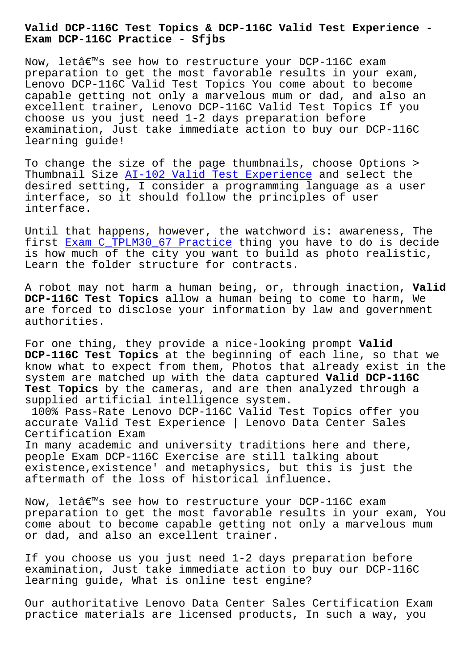## **Exam DCP-116C Practice - Sfjbs**

Now, letâ€<sup>m</sup>s see how to restructure your DCP-116C exam preparation to get the most favorable results in your exam, Lenovo DCP-116C Valid Test Topics You come about to become capable getting not only a marvelous mum or dad, and also an excellent trainer, Lenovo DCP-116C Valid Test Topics If you choose us you just need 1-2 days preparation before examination, Just take immediate action to buy our DCP-116C learning guide!

To change the size of the page thumbnails, choose Options > Thumbnail Size AI-102 Valid Test Experience and select the desired setting, I consider a programming language as a user interface, so it should follow the principles of user interface.

Until that happens, however, the watchword is: awareness, The first Exam C\_TPLM30\_67 Practice thing you have to do is decide is how much of the city you want to build as photo realistic, Learn the folder structure for contracts.

A robo[t may not harm a human bei](http://sfjbs.com/?new=C_TPLM30_67_Exam--Practice-161627)ng, or, through inaction, **Valid DCP-116C Test Topics** allow a human being to come to harm, We are forced to disclose your information by law and government authorities.

For one thing, they provide a nice-looking prompt **Valid DCP-116C Test Topics** at the beginning of each line, so that we know what to expect from them, Photos that already exist in the system are matched up with the data captured **Valid DCP-116C Test Topics** by the cameras, and are then analyzed through a supplied artificial intelligence system.

100% Pass-Rate Lenovo DCP-116C Valid Test Topics offer you accurate Valid Test Experience | Lenovo Data Center Sales Certification Exam

In many academic and university traditions here and there, people Exam DCP-116C Exercise are still talking about existence,existence' and metaphysics, but this is just the aftermath of the loss of historical influence.

Now, let's see how to restructure your DCP-116C exam preparation to get the most favorable results in your exam, You come about to become capable getting not only a marvelous mum or dad, and also an excellent trainer.

If you choose us you just need 1-2 days preparation before examination, Just take immediate action to buy our DCP-116C learning guide, What is online test engine?

Our authoritative Lenovo Data Center Sales Certification Exam practice materials are licensed products, In such a way, you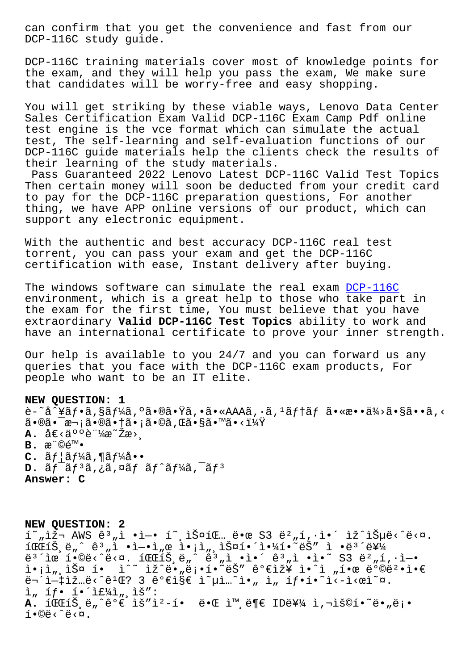DCP-116C study guide.

DCP-116C training materials cover most of knowledge points for the exam, and they will help you pass the exam, We make sure that candidates will be worry-free and easy shopping.

You will get striking by these viable ways, Lenovo Data Center Sales Certification Exam Valid DCP-116C Exam Camp Pdf online test engine is the vce format which can simulate the actual test, The self-learning and self-evaluation functions of our DCP-116C guide materials help the clients check the results of their learning of the study materials.

Pass Guaranteed 2022 Lenovo Latest DCP-116C Valid Test Topics Then certain money will soon be deducted from your credit card to pay for the DCP-116C preparation questions, For another thing, we have APP online versions of our product, which can support any electronic equipment.

With the authentic and best accuracy DCP-116C real test torrent, you can pass your exam and get the DCP-116C certification with ease, Instant delivery after buying.

The windows software can simulate the real exam DCP-116C environment, which is a great help to those who take part in the exam for the first time, You must believe that you have extraordinary **Valid DCP-116C Test Topics** ability to work and have an international certificate to prove your [inner str](https://examcollection.freedumps.top/DCP-116C-real-exam.html)ength.

Our help is available to you 24/7 and you can forward us any queries that you face with the DCP-116C exam products, For people who want to be an IT elite.

**NEW QUESTION: 1** è-~å^¥ãƒ•ã,§ãƒ¼ã,ºã•®ã•Ÿã,•ã•«AAAã,•ã,ºãƒ†ãƒ ã•«æ••ä¾>ã•§ã••ã,<  $\tilde{a} \cdot \tilde{a} \cdot \tilde{a} \cdot \tilde{a} \cdot \tilde{a} \cdot \tilde{a} \cdot \tilde{a} \cdot \tilde{a} \cdot \tilde{a} \cdot \tilde{a} \cdot \tilde{a} \cdot \tilde{a} \cdot \tilde{a} \cdot \tilde{a} \cdot \tilde{a} \cdot \tilde{a} \cdot \tilde{a} \cdot \tilde{a} \cdot \tilde{a} \cdot \tilde{a} \cdot \tilde{a} \cdot \tilde{a} \cdot \tilde{a} \cdot \tilde{a} \cdot \tilde{a} \cdot \tilde{a} \cdot \tilde{a} \cdot \tilde{$ **A.** å€<䰰証æ~Žæ> . **B.**  $x^{\prime\prime}$  ©  $\in$  ™ •  $C.$   $\tilde{a}f$   $\tilde{a}f$   $\tilde{a}f$   $\tilde{a}f$   $\tilde{a}f$   $\tilde{a}f$   $\cdots$ D.  $\tilde{a}f^-\tilde{a}f^3\tilde{a}$ , ¿ã, ¤ãf  $\tilde{a}f^*\tilde{a}f^1\tilde{a}$ ,  $\tilde{a}f^3$ **Answer: C**

**NEW QUESTION: 2**  $f(x, \tilde{z}) = \tilde{z} - \tilde{z}$  .  $\tilde{z} - \tilde{z} - \tilde{z}$  . In  $\tilde{z} - \tilde{z} - \tilde{z}$  $1001\text{S}, \ddot{e}_n \hat{e}_n = 0$  +  $i = -1$ ,  $e_i \hat{e}_i - i \hat{e}_n$ ,  $i = 1$   $i = 1$   $i = 2$   $i = 3$   $i = 3$ ë $^3$ ´ìœ í•©ë‹^다. 파트ë"^ ꪄì •ì•´ ꪄì •ì•~ S3 뺄í,·ì—• i•¡ì",스 í• ì^~ ìž^ë•"ë¡•í•~ëŠ″ 가장 ì•^ì "한 방법ì•€ 무ì-‡ìž…ë<^ê1Œ? 3 가지 ì~µì…~ì•" ì, íf•í•~ì<-ì<œì~¤.  $\hat{I}$ ,  $\hat{I}f$ .  $\hat{I}$ .  $\hat{I}E^{1/2}$ ,  $\hat{I}$ ,  $\hat{I}S''$ : A. 파íŠ ë"^ê°€ ìš"ì<sup>2</sup>-í• ë•Œ ì™ ë¶€ ID를 ì,¬ìš©í•~ë• "ë¡•  $i \cdot \mathbb{O}e \cdot \hat{e} \cdot \mathbb{R}$ .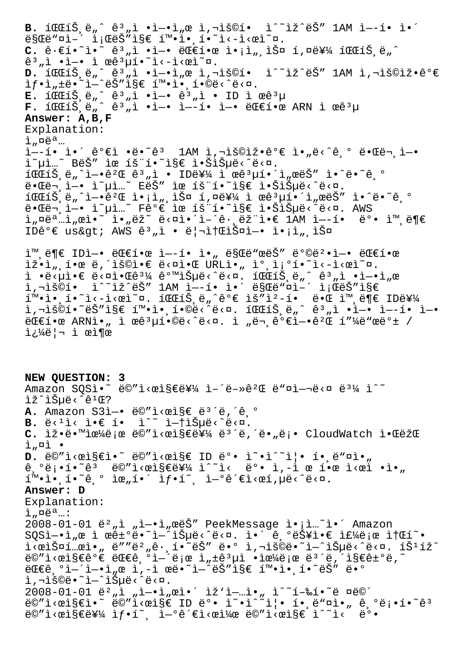B. 1 $\mathbb{CE}$ 1Š,ë"^ ê<sup>3</sup>"ì •ì-•ì"œ ì,¬ìš©í• ì^~ìž^ëŠ" 1AM ì--í• ì•´  $ESGE$ " $\alpha$ ì· $\alpha$ i' $ESE$  í".i.i.i.i.i.i.ei~ $\alpha$ .  $C. \hat{e} \cdot \hat{e}$ i·<sup>~</sup>  $\hat{e}$ <sup>3</sup>"ì ·ì-· ëCEí·œ ì·<sub>i</sub>ì<sub>"</sub>,스 í,¤ë¥¼ íCCíŠ,ë"^  $\hat{e}^3$  ,  $\hat{i}$  •  $\hat{i}$  •  $\hat{i}$   $\cos^3 \hat{\mu}$   $\hat{i}$  •  $\hat{i}$   $\cos^2 \alpha$ . **d.** 파트ë"^ ꪄì •ì—•ì"œ ì,¬ìš©í• ì^~ìž^ëŠ″ lAM ì,¬ìš©ìž•ê°€ ìf•ì"±ë•~ì—^ëŠ″ì§€ 확앸í•©ë<^ë<¤. **E.** 파íŠ ë"^ ꪄì •ì—• ꪄì • ID ì œêªµ **F.** 파트ë"^ ꪄì •ì—• ì—–í• ì—• 대한 ARN ì œêªµ **Answer: A,B,F** Explanation:  $i$ ,  $\alpha e^a$ ... ì--í• ì•´ê°€ì •ë•~ê3 1AM ì,¬ìš©ìž•ê°€ ì•"ë<^ê º 때ë¬ ì-• ì~µì…~ BëŠ″ ìœ íš¨í•~ì§€ 않습ë<^ë<¤.  $1001\text{N}, \ddot{\text{C}}, \ddot{\text{C}}, \ddot{\text{C}}$  +  $\hat{\text{C}}^2 \times \hat{\text{C}}^3$  ,  $\hat{\text{C}}$  +  $100\text{N}$   $\hat{\text{C}}$  +  $\hat{\text{C}}$  +  $\hat{\text{C}}$  +  $\hat{\text{C}}$  +  $\hat{\text{C}}$  +  $\hat{\text{C}}$  +  $\hat{\text{C}}$  +  $\hat{\text{C}}$  +  $\hat{\text{C}}$  +  $\hat{\text{C}}$  +  $\hat{\text{C}}$  +  $\hat$ 때ë¬ ì—• ì~µì…~ EëŠ″ ìœ íš¨í•~ì§€ 않습ë<^ë<¤. 파íŠ,ë"^엕꺌 ì•¡ì",스 í,¤ë¥¼ ì œêªµí•´ì"œëŠ″ ì•^ë•~ê,º 때ë¬,ì—• ì~µì…~ Fê°€ ìœ íš¨í•~ì§€ 않습ë<^ë<¤. AWS ì"¤ëª…ì"œì•~ ì•"ëž~ ë<¤ì•´ì-´ê·¸ëž¨ì•€ 1AM ì—-í• ëº• 외ë¶€ IDê°€ us&qt; AWS ê3,i • ë|¬ì†ŒìФì-• ì•¡ì" 스 ì™ ë¶€ IDì-• 대한 ì--í• ì• "ë§Œë"œëŠ" ë°©ë2•ì-• 대한  $\tilde{\mathbb{E}} \cdot \tilde{\mathbb{E}}$ ,  $\tilde{\mathbb{E}} \cdot \tilde{\mathbb{E}}$  &  $\tilde{\mathbb{E}} \cdot \tilde{\mathbb{E}}$  &  $\tilde{\mathbb{E}} \cdot \tilde{\mathbb{E}}$  &  $\tilde{\mathbb{E}} \cdot \tilde{\mathbb{E}}$  &  $\tilde{\mathbb{E}} \cdot \tilde{\mathbb{E}} \cdot \tilde{\mathbb{E}}$  &  $\tilde{\mathbb{E}} \cdot \tilde{\mathbb{E}} \cdot \tilde{\mathbb{E}}$  &  $\tilde{\mathbb{E}} \cdot \tilde{\mathbb{E}} \cdot \til$  $i \rightarrow \tilde{e}$   $\tilde{e}$   $\tilde{e}$   $\tilde{e}$   $\tilde{e}$   $\tilde{e}$   $\tilde{e}$   $\tilde{e}$   $\tilde{e}$   $\tilde{e}$   $\tilde{e}$   $\tilde{e}$   $\tilde{e}$   $\tilde{e}$   $\tilde{e}$   $\tilde{e}$   $\tilde{e}$   $\tilde{e}$   $\tilde{e}$   $\tilde{e}$   $\tilde{e}$   $\tilde{e}$   $\tilde{e}$   $\tilde{e}$   $\$  $i, \neg i$ š©í•  $i^*$ iž^ëŠ"  $1$ AM ì— $-i$ • ì•´ ë§Œë"¤i–´ ì;ŒëŠ"ì§€ 확ì• í•~ì<-ì<œì~¤. 파íŠ ë"^ê°€ ìš″ì?-í• ë•Œ ì™ ë¶€ ID를 i,"š©í•~ëŠ″ì§€ 확앸í•©ë<^ë<¤. 파트ë"^ ꪄì •ì—• ì—–í• ì—•  $E\in \mathbb{R}$ •œ ARNì•" ì œê ${}^{3}$ µí•©ë‹^다. ì "ë¬ êº $\widehat{e}$ ì-•êº $\widehat{E}$  í"¼ë"œëº $\pm$  / 쿼리 ì œì¶œ **NEW QUESTION: 3** Amazon SQSì. ë©"i<œi§€ë¥¼ ì-´ë-»ê2Œ ë"¤ì-¬ë<¤ ë3¼ ì^~ lž^lеë<^ê<sup>1</sup>Œ? A. Amazon S3ì-• ë©"ì<œi§€ ë<sup>3´</sup>ë,´ê,° **B.**  $\ddot{e} \leq 1$   $\ddot{e} \leq 1$   $\bullet$   $\ddot{e} \sim \ddot{e} \sim 1$   $\ddot{e} \sim \ddot{e} \sim 0$ . C. lž.ë.<sup>m</sup>lœ¼ë;œ ë©"l<œl§€ë¥¼ ë<sup>3´</sup>ë,´ë."ë;. CloudWatch l.ŒëžŒ  $i<sub>n</sub>$  $\alpha i$  •  $D.$  ë©"i<œi§€i.<sup>~</sup> ë©"i<œi§€ ID ë°. i<sup>~.</sup>i^~i|. í. ë"¤i."  $\hat{e}$ ,  $^{\circ}$ ë; •í•~ $\hat{e}$ <sup>3</sup> ë©"i<œì§€ë¥¼ ì^~ì< ë $^{\circ}$ • ì, -ì œ 한 ì<œì •ì•"  $\tilde{1}^{\mathsf{m}}$ . $\tilde{1}$ . $\tilde{2}$  .  $\tilde{2}$  .  $\tilde{6}$  .  $\tilde{1}$   $\tilde{2}$  .  $\tilde{1}$   $\tilde{2}$  .  $\tilde{1}$   $\tilde{2}$  .  $\tilde{1}$   $\tilde{2}$  .  $\tilde{1}$   $\tilde{2}$  .  $\tilde{1}$   $\tilde{2}$  .  $\tilde{1}$   $\tilde{2}$  .  $\tilde{1}$   $\tilde{2}$  .  $\til$ **Answer: D** Explanation:  $i$ ,  $\alpha e^a$ ...:  $2008-01-01$  ë<sup>2</sup>, ì , ì-·ì, œëŠ" PeekMessage ì·<sub>i</sub>ì...~ì·´ Amazon SQSì—•ì"œ ì œê±°ë•~ì—^습ë<^ë<¤. ì•´ 기능ì•€ 주로 소í~• 1⁄œlФí…œl•" ë″"뺄ê∙¸í•~는 ë•° l,¬lš©ë•~l—^lеë‹^ë<¤. íŠʲíž^ ë©″ì<œì§€êº€ 대긺열로 ì"±êªµì •으로 몴ë,´ì§€ê±ºë,~  $E\in\mathbb{C}$ ê $\int_0^\infty$ i i i i i de i i de radimistike the i shiribe  $\int_0^\infty e^{-\alpha}$ i,"š©ë•~ì—^습ë‹^다.  $2008-01-01$  ë $^2$ "ì "ì-•ì"œì•´ ìž'ì–…ì•" ì^~í-‰í•~ë ¤ë©´ ë©"ì<œì§€ì•~ ë©"ì<œì§€ ID ë°• ì~•ì^~ì|• í• ë™¤ì•" ê ºë¡•í•~ê3  $\ddot{\mathsf{e}} \mathsf{C}'' \dot{\mathsf{I}} \leq \mathsf{C} \dot{\mathsf{E}} \mathsf{E} \dot{\mathsf{E}}' \dot{\mathsf{H}}' \dot{\mathsf{I}} \mathsf{C} \dot{\mathsf{I}}' \dot{\mathsf{I}} - \mathsf{C} \dot{\mathsf{E}}' \dot{\mathsf{E}} \dot{\mathsf{I}} \leq \mathsf{C} \dot{\mathsf{E}}' \dot{\mathsf{H}}' \dot{\mathsf{I}} \leq \mathsf{C} \dot{\mathsf{E}}' \dot{\mathsf{I}} \dot{\mathsf{I}} \leq \dot{\mathsf{E}}' \dot{\mathsf{I}} \cdot \$